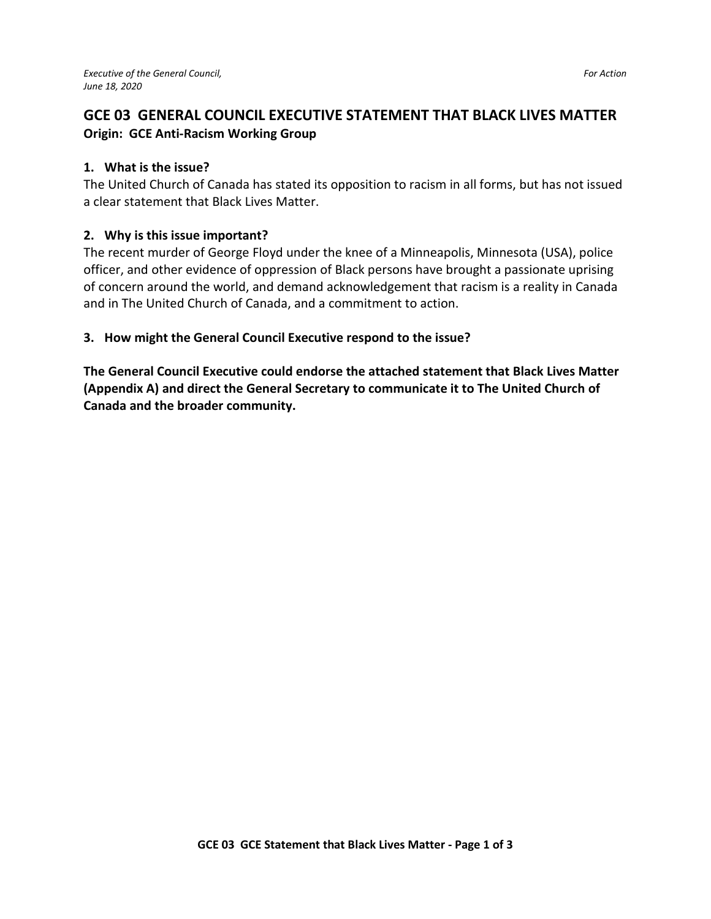## **GCE 03 GENERAL COUNCIL EXECUTIVE STATEMENT THAT BLACK LIVES MATTER Origin: GCE Anti-Racism Working Group**

## **1. What is the issue?**

The United Church of Canada has stated its opposition to racism in all forms, but has not issued a clear statement that Black Lives Matter.

## **2. Why is this issue important?**

The recent murder of George Floyd under the knee of a Minneapolis, Minnesota (USA), police officer, and other evidence of oppression of Black persons have brought a passionate uprising of concern around the world, and demand acknowledgement that racism is a reality in Canada and in The United Church of Canada, and a commitment to action.

## **3. How might the General Council Executive respond to the issue?**

**The General Council Executive could endorse the attached statement that Black Lives Matter (Appendix A) and direct the General Secretary to communicate it to The United Church of Canada and the broader community.**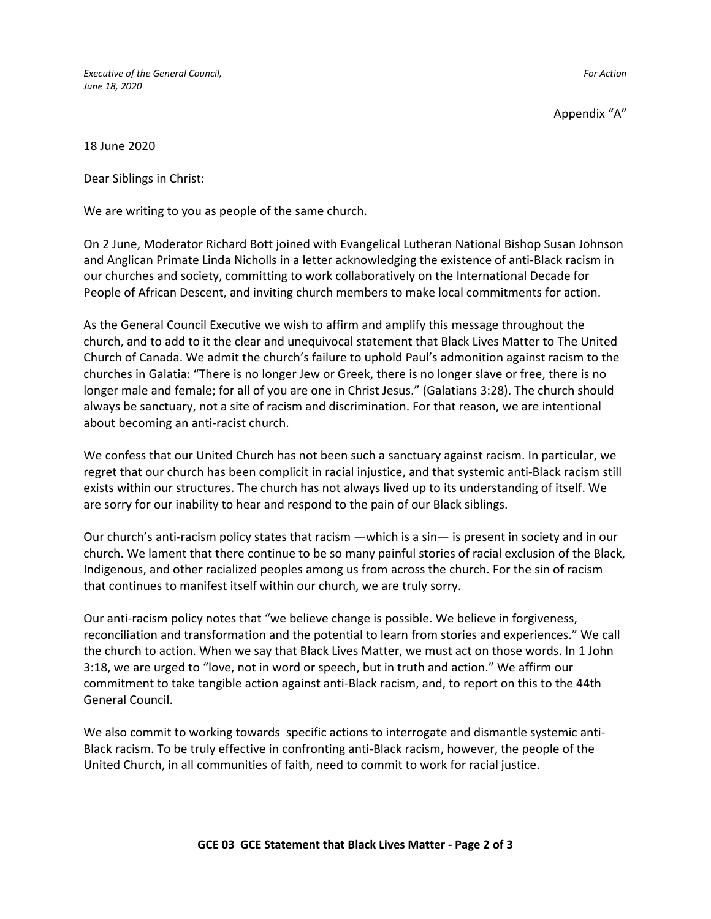*Executive of the General Council, For Action June 18, 2020* 

Appendix "A"

18 June 2020

Dear Siblings in Christ:

We are writing to you as people of the same church.

On 2 June, Moderator Richard Bott joined with Evangelical Lutheran National Bishop Susan Johnson and Anglican Primate Linda Nicholls in a letter acknowledging the existence of anti-Black racism in our churches and society, committing to work collaboratively on the International Decade for People of African Descent, and inviting church members to make local commitments for action.

As the General Council Executive we wish to affirm and amplify this message throughout the church, and to add to it the clear and unequivocal statement that Black Lives Matter to The United Church of Canada. We admit the church's failure to uphold Paul's admonition against racism to the churches in Galatia: "There is no longer Jew or Greek, there is no longer slave or free, there is no longer male and female; for all of you are one in Christ Jesus." (Galatians 3:28). The church should always be sanctuary, not a site of racism and discrimination. For that reason, we are intentional about becoming an anti-racist church.

We confess that our United Church has not been such a sanctuary against racism. In particular, we regret that our church has been complicit in racial injustice, and that systemic anti-Black racism still exists within our structures. The church has not always lived up to its understanding of itself. We are sorry for our inability to hear and respond to the pain of our Black siblings.

Our church's anti-racism policy states that racism —which is a sin— is present in society and in our church. We lament that there continue to be so many painful stories of racial exclusion of the Black, Indigenous, and other racialized peoples among us from across the church. For the sin of racism that continues to manifest itself within our church, we are truly sorry.

Our anti-racism policy notes that "we believe change is possible. We believe in forgiveness, reconciliation and transformation and the potential to learn from stories and experiences." We call the church to action. When we say that Black Lives Matter, we must act on those words. In 1 John 3:18, we are urged to "love, not in word or speech, but in truth and action." We affirm our commitment to take tangible action against anti-Black racism, and, to report on this to the 44th General Council.

We also commit to working towards specific actions to interrogate and dismantle systemic anti-Black racism. To be truly effective in confronting anti-Black racism, however, the people of the United Church, in all communities of faith, need to commit to work for racial justice.